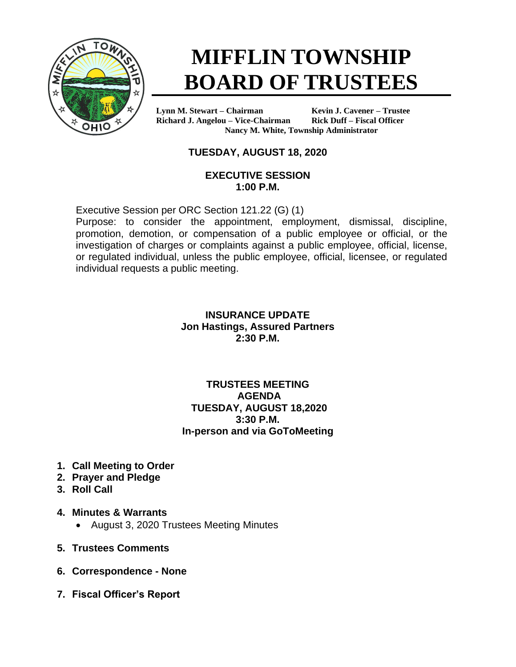

# **MIFFLIN TOWNSHIP BOARD OF TRUSTEES**

**Lynn M. Stewart – Chairman Kevin J. Cavener – Trustee Richard J. Angelou – Vice-Chairman Rick Duff – Fiscal Officer Nancy M. White, Township Administrator**

# **TUESDAY, AUGUST 18, 2020**

#### **EXECUTIVE SESSION 1:00 P.M.**

Executive Session per ORC Section 121.22 (G) (1)

Purpose: to consider the appointment, employment, dismissal, discipline, promotion, demotion, or compensation of a public employee or official, or the investigation of charges or complaints against a public employee, official, license, or regulated individual, unless the public employee, official, licensee, or regulated individual requests a public meeting.

#### **INSURANCE UPDATE Jon Hastings, Assured Partners 2:30 P.M.**

#### **TRUSTEES MEETING AGENDA TUESDAY, AUGUST 18,2020 3:30 P.M. In-person and via GoToMeeting**

- **1. Call Meeting to Order**
- **2. Prayer and Pledge**
- **3. Roll Call**
- **4. Minutes & Warrants**
	- August 3, 2020 Trustees Meeting Minutes
- **5. Trustees Comments**
- **6. Correspondence - None**
- **7. Fiscal Officer's Report**